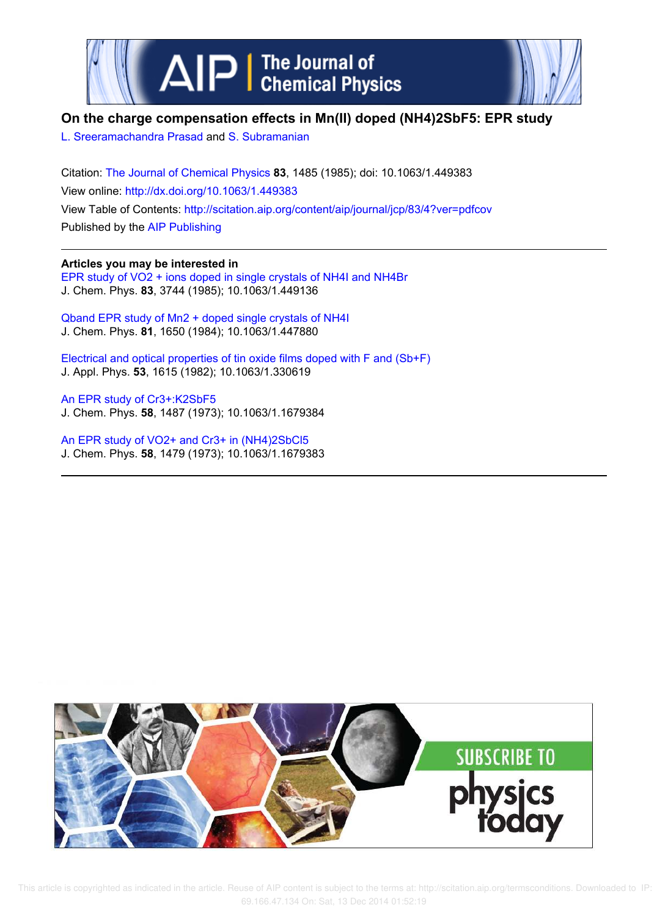



# **On the charge compensation effects in Mn(II) doped (NH4)2SbF5: EPR study**

L. Sreeramachandra Prasad and S. Subramanian

Citation: The Journal of Chemical Physics **83**, 1485 (1985); doi: 10.1063/1.449383 View online: http://dx.doi.org/10.1063/1.449383 View Table of Contents: http://scitation.aip.org/content/aip/journal/jcp/83/4?ver=pdfcov Published by the AIP Publishing

# **Articles you may be interested in**

EPR study of VO2 + ions doped in single crystals of NH4I and NH4Br J. Chem. Phys. **83**, 3744 (1985); 10.1063/1.449136

Qband EPR study of Mn2 + doped single crystals of NH4I J. Chem. Phys. **81**, 1650 (1984); 10.1063/1.447880

Electrical and optical properties of tin oxide films doped with F and (Sb+F) J. Appl. Phys. **53**, 1615 (1982); 10.1063/1.330619

An EPR study of Cr3+:K2SbF5 J. Chem. Phys. **58**, 1487 (1973); 10.1063/1.1679384

An EPR study of VO2+ and Cr3+ in (NH4)2SbCl5 J. Chem. Phys. **58**, 1479 (1973); 10.1063/1.1679383

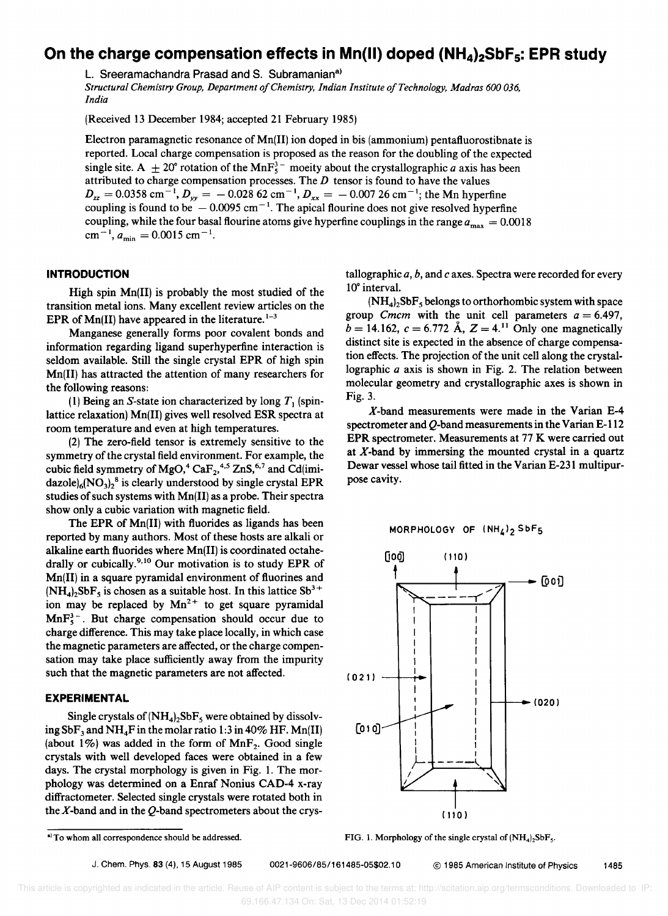# **On the charge compensation effects in Mn(II) doped (NH<sub>4</sub>)<sub>2</sub>SbF<sub>5</sub>: EPR study**

L. Sreeramachandra Prasad and S. Subramanian<sup>a)</sup>

*Structural Chemistry Group, Department a/Chemistry, Indian Institute a/Technology, Madras 600 036, India* 

(Received 13 December 1984; accepted 21 February 1985)

Electron paramagnetic resonance of Mn(II) ion doped in bis (ammonium) pentafluorostibnate is reported. Local charge compensation is proposed as the reason for the doubling of the expected single site. A  $\pm 20^{\circ}$  rotation of the MnF<sup>3</sup><sup>-</sup> moeity about the crystallographic a axis has been attributed to charge compensation processes. The  $D$  tensor is found to have the values  $D_{zz} = 0.0358 \text{ cm}^{-1}$ ,  $D_{yy} = -0.028 \text{ }62 \text{ cm}^{-1}$ ,  $D_{xx} = -0.007 \text{ }26 \text{ cm}^{-1}$ ; the Mn hyperfine coupling is found to be  $-0.0095$  cm<sup>-1</sup>. The apical flourine does not give resolved hyperfine coupling, while the four basal flourine atoms give hyperfine couplings in the range  $a_{\text{max}} = 0.0018$  $\text{cm}^{-1}$ ,  $a_{\text{min}} = 0.0015 \text{ cm}^{-1}$ .

## **INTRODUCTION**

High spin Mn(II) is probably the most studied of the transition metal ions. Many excellent review articles on the EPR of  $Mn(II)$  have appeared in the literature.  $1-3$ 

Manganese generally forms poor covalent bonds and information regarding ligand superhyperfine interaction is seldom available. Still the single crystal EPR of high spin Mn(II) has attracted the attention of many researchers for the following reasons:

(1) Being an S-state ion characterized by long  $T_1$  (spinlattice relaxation) Mn(II) gives well resolved ESR spectra at room temperature and even at high temperatures.

(2) The zero-field tensor is extremely sensitive to the symmetry of the crystal field environment. For example, the cubic field symmetry of  $MgO, ^{4}CaF_{2}, ^{4,5}ZnS, ^{6,7}$  and Cd(imi- $\text{dazole}_{6}(\text{NO}_{3})_{2}^{\text{8}}$  is clearly understood by single crystal EPR studies of such systems with Mn(II) as a probe, Their spectra show only a cubic variation with magnetic field.

The EPR of Mn(II) with fluorides as ligands has been reported by many authors. Most of these hosts are alkali or alkaline earth fluorides where Mn(II) is coordinated octahedrally or cubically.<sup>9,10</sup> Our motivation is to study EPR of Mn(II) in a square pyramidal environment of fluorines and  $(NH_4)_2 SbF_5$  is chosen as a suitable host. In this lattice  $Sb^{3+}$ ion may be replaced by  $Mn^{2+}$  to get square pyramidal  $\text{MnF}_5^3$ . But charge compensation should occur due to charge difference, This may take place locally, in which case the magnetic parameters are affected, or the charge compensation may take place sufficiently away from the impurity such that the magnetic parameters are not affected.

# **EXPERIMENTAL**

Single crystals of  $(NH_4)_2SbF_5$  were obtained by dissolving  $SbF_3$  and  $NH_4F$  in the molar ratio 1:3 in 40% HF. Mn(II) (about  $1\%$ ) was added in the form of MnF<sub>2</sub>. Good single crystals with well developed faces were obtained in a few days. The crystal morphology is given in Fig, 1, The morphology was determined on a Enraf Nonius CAD-4 x-ray diffractometer. Selected single crystals were rotated both in the  $X$ -band and in the  $Q$ -band spectrometers about the crystallographic *a,* b, and *c* axes. Spectra were recorded for every 10° interval.

 $(NH_4)$ ,  $SbF_5$  belongs to orthorhombic system with space group *Cmcm* with the unit cell parameters  $a = 6.497$ ,  $b = 14.162$ ,  $c = 6.772$  Å,  $Z = 4.11$  Only one magnetically distinct site is expected in the absence of charge compensation effects. The projection of the unit cell along the crystallographic *a* axis is shown in Fig. 2. The relation between molecular geometry and crystallographic axes is shown in Fig. 3.

X-band measurements were made in the Varian E-4 spectrometer and  $Q$ -band measurements in the Varian E-112 EPR spectrometer. Measurements at 77 K were carried out at X-band by immersing the mounted crystal in a quartz Dewar vessel whose tail fitted in the Varian E-231 multipurpose cavity.

MORPHOLOGY OF  $(NH_4)_2$  SbF<sub>5</sub>



FIG. 1. Morphology of the single crystal of  $(NH_4)$ ,  $SbF_5$ .

a) To whom all correspondence should be addressed.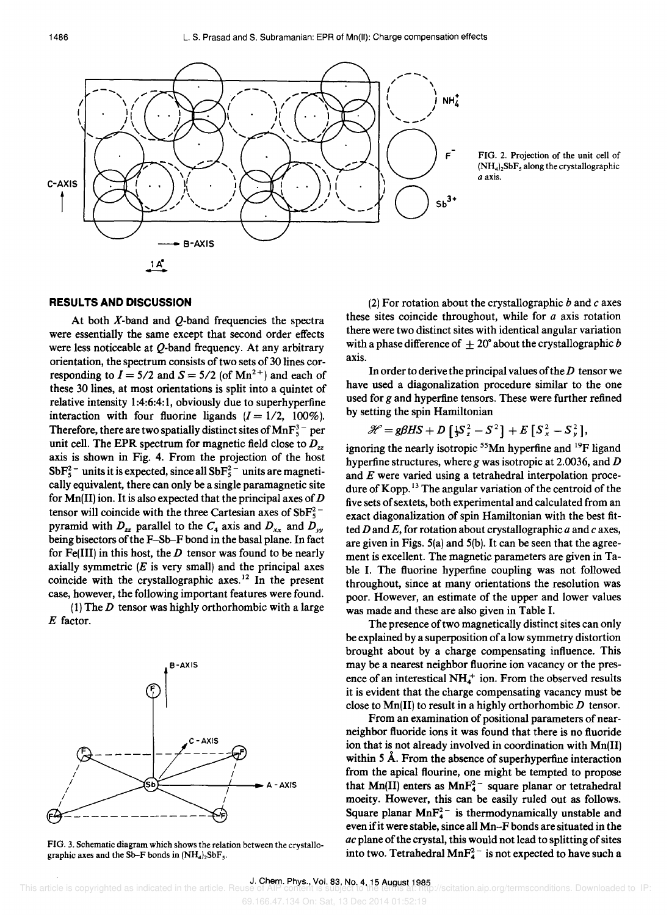



#### **RESULTS AND DISCUSSION**

At both  $X$ -band and  $Q$ -band frequencies the spectra were essentially the same except that second order effects were less noticeable at Q-band frequency. At any arbitrary orientation, the spectrum consists of two sets of 30 lines corresponding to  $I = 5/2$  and  $S = 5/2$  (of Mn<sup>2+</sup>) and each of these 30 lines, at most orientations is split into a quintet of relative intensity 1:4:6:4:1, obviously due to superhyperfine interaction with four fluorine ligands  $(I = 1/2, 100\%)$ . Therefore, there are two spatially distinct sites of  $MnF_5^3$  per unit cell. The EPR spectrum for magnetic field close to  $D_{zz}$ axis is shown in Fig. 4. From the projection of the host  $SbF_5^2$ <sup>-</sup> units it is expected, since all  $SbF_5^2$ <sup>-</sup> units are magnetically equivalent, there can only be a single paramagnetic site for  $Mn(II)$  ion. It is also expected that the principal axes of  $D$ tensor will coincide with the three Cartesian axes of  $SbF_5^2$ pyramid with  $D_{zz}$  parallel to the  $C_4$  axis and  $D_{xx}$  and  $D_{yy}$ being bisectors of the F-Sh-F bond in the basal plane. In fact for Fe(III) in this host, the *D* tensor was found to be nearly axially symmetric  $(E$  is very small) and the principal axes coincide with the crystallographic axes. 12 In the present case, however, the following important features were found.

(1) The *D* tensor was highly orthorhombic with a large *E* factor.



FIG. 3. Schematic diagram which shows the relation between the crystallographic axes and the Sb-F bonds in  $(NH_4)_2$ SbF<sub>5</sub>.

(2) For rotation about the crystallographic band *c* axes these sites coincide throughout, while for  $a$  axis rotation there were two distinct sites with identical angular variation with a phase difference of  $\pm 20^{\circ}$  about the crystallographic *b* axis.

In order to derive the principal values of the  $D$  tensor we have used a diagonalization procedure similar to the one used for *g* and hyperfine tensors. These were further refined by setting the spin Hamiltonian

$$
\mathcal{H} = g\beta HS + D\left[\frac{1}{3}S_z^2 - S^2\right] + E\left[S_x^2 - S_y^2\right],
$$

ignoring the nearly isotropic  $55$ Mn hyperfine and  $19$ F ligand hyperfine structures, where g was isotropic at 2.0036, and  $D$ and *E* were varied using a tetrahedral interpolation procedure of Kopp.<sup>13</sup> The angular variation of the centroid of the five sets of sextets, both experimental and calculated from an exact diagonalization of spin Hamiltonian with the best fitted D and E, for rotation about crystallographic *a* and *c* axes, are given in Figs. 5(a) and 5(b). It can be seen that the agreement is excellent. The magnetic parameters are given in Table I. The fluorine hyperfine coupling was not followed throughout, since at many orientations the resolution was poor. However, an estimate of the upper and lower values was made and these are also given in Table I.

The presence of two magnetically distinct sites can only be explained by a superposition of a low symmetry distortion brought about by a charge compensating influence. This may be a nearest neighbor fluorine ion vacancy or the presence of an interestical  $NH<sub>4</sub><sup>+</sup>$  ion. From the observed results it is evident that the charge compensating vacancy must be close to  $Mn(II)$  to result in a highly orthorhombic  $D$  tensor.

From an examination of positional parameters of nearneighbor fluoride ions it was found that there is no fluoride ion that is not already involved in coordination with Mn(II) within 5 Å. From the absence of superhyperfine interaction from the apical flourine, one might be tempted to propose that  $Mn(II)$  enters as  $MnF_4^{2-}$  square planar or tetrahedral moeity. However, this can be easily ruled out as follows. Square planar  $MnF_4^2$  is thermodynamically unstable and even ifit were stable, since all Mn-Fbonds are situated in the *ac* plane of the crystal, this would not lead to splitting of sites into two. Tetrahedral  $MnF_4^{2-}$  is not expected to have such a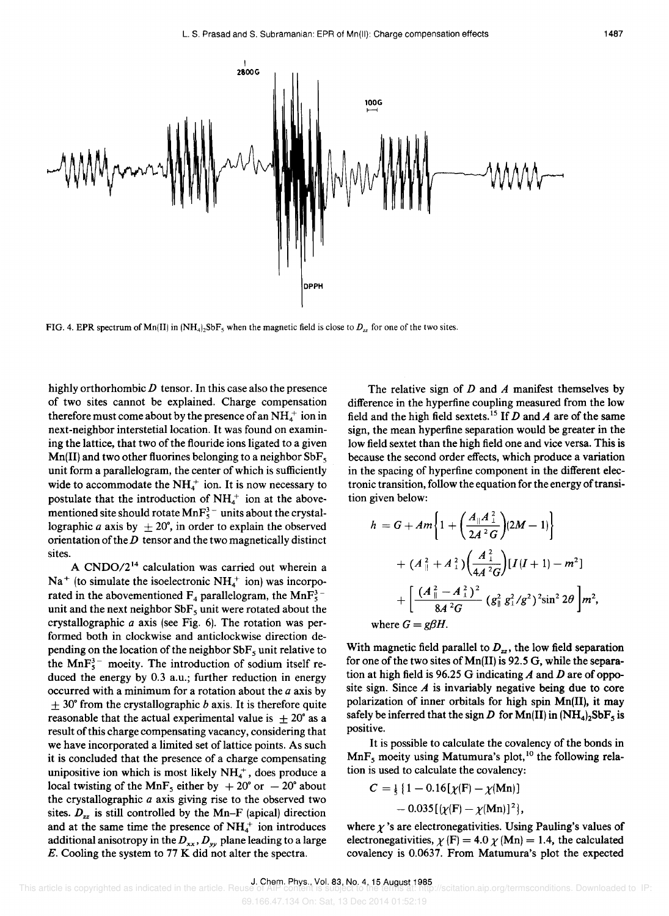



FIG. 4. EPR spectrum of Mn(II) in  $(NH_4)_2SbF_5$  when the magnetic field is close to  $D_{11}$  for one of the two sites.

highly orthorhombic *D* tensor. In this case also the presence of two sites cannot be explained. Charge compensation therefore must come about by the presence of an  $NH<sub>4</sub><sup>+</sup>$  ion in next-neighbor interstetial location. It was found on examining the lattice, that two of the flouride ions ligated to a given  $Mn(II)$  and two other fluorines belonging to a neighbor SbF<sub>5</sub> unit form a parallelogram, the center of which is sufficiently wide to accommodate the  $NH_4^+$  ion. It is now necessary to postulate that the introduction of  $NH<sub>4</sub><sup>+</sup>$  ion at the abovementioned site should rotate  $MnF_5^3$  units about the crystallographic *a* axis by  $\pm 20^{\circ}$ , in order to explain the observed orientation of the  $D$  tensor and the two magnetically distinct sites.

A CNDO/2<sup>14</sup> calculation was carried out wherein a  $Na<sup>+</sup>$  (to simulate the isoelectronic  $NH<sub>4</sub><sup>+</sup>$  ion) was incorporated in the abovementioned  $F_4$  parallelogram, the MnF<sup>3</sup> unit and the next neighbor  $SbF_5$  unit were rotated about the crystallographic  $a$  axis (see Fig. 6). The rotation was performed both in clockwise and anticlockwise direction depending on the location of the neighbor  $SbF_5$  unit relative to the  $MnF_5^3$  moeity. The introduction of sodium itself reduced the energy by 0.3 a.u.; further reduction in energy occurred with a minimum for a rotation about the  $a$  axis by ± *30°* from the crystallographic *b* axis. It is therefore quite reasonable that the actual experimental value is  $\pm 20^{\circ}$  as a result of this charge compensating vacancy, considering that we have incorporated a limited set of lattice points. As such it is concluded that the presence of a charge compensating unipositive ion which is most likely  $NH<sub>4</sub><sup>+</sup>$ , does produce a local twisting of the MnF<sub>5</sub> either by  $+20^{\circ}$  or  $-20^{\circ}$  about the crystallographic  $a$  axis giving rise to the observed two sites.  $D_{zz}$  is still controlled by the Mn-F (apical) direction and at the same time the presence of  $NH<sub>4</sub><sup>+</sup>$  ion introduces additional anisotropy in the  $D_{xx}$ ,  $D_{yy}$  plane leading to a large *E.* Cooling the system to 77 K did not alter the spectra.

The relative sign of *D* and *A* manifest themselves by difference in the hyperfine coupling measured from the low field and the high field sextets. 15 If *D* and *A* are of the same sign, the mean hyperfine separation would be greater in the low field sextet than the high field one and vice versa. This is because the second order effects, which produce a variation in the spacing of hyperfine component in the different electronic transition, follow the equation for the energy of transition given below:

$$
h = G + Am \left\{ 1 + \left( \frac{A_{\parallel} A_{\perp}^2}{2A^2 G} \right) (2M - 1) \right\}
$$
  
+  $(A_{\parallel}^2 + A_{\perp}^2) \left( \frac{A_{\perp}^2}{4A^2 G} \right) [I(I + 1) - m^2]$   
+  $\left[ \frac{(A_{\parallel}^2 - A_{\perp}^2)^2}{8A^2 G} (g_{\parallel}^2 g_{\perp}^2 / g^2)^2 \sin^2 2\theta \right] m^2$ ,  
where  $G = g\beta H$ .

With magnetic field parallel to  $D_{zz}$ , the low field separation for one of the two sites of Mn(II) is 92.5 G, while the separation at high field is 96.25 G indicating *A* and *D* are of opposite sign. Since  $A$  is invariably negative being due to core polarization of inner orbitals for high spin Mn(II), it may safely be inferred that the sign D for  $Mn(II)$  in  $(NH_4)_2SbF_5$  is positive.

It is possible to calculate the covalency of the bonds in  $MnF_5$  moeity using Matumura's plot,<sup>10</sup> the following relation is used to calculate the covalency:

$$
C = \frac{1}{5} \{ 1 - 0.16[\chi(\mathbf{F}) - \chi(\mathbf{Mn})] - 0.035[\chi(\mathbf{F}) - \chi(\mathbf{Mn})]^2 \},
$$

where  $\gamma$ 's are electronegativities. Using Pauling's values of electronegativities,  $\chi$  (F) = 4.0  $\chi$  (Mn) = 1.4, the calculated covalency is 0.0637. From Matumura's plot the expected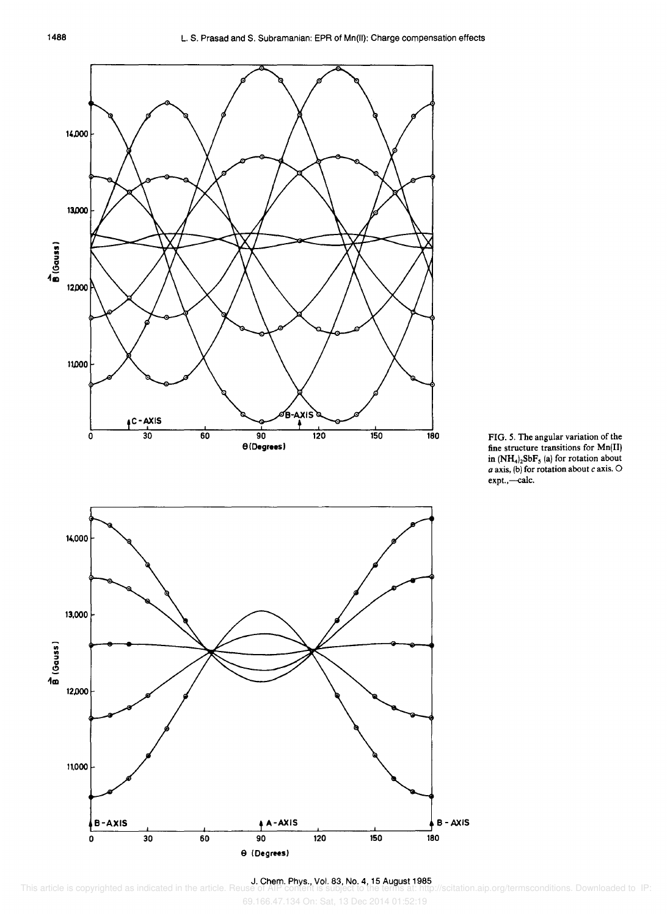



69.166.47.134 On: Sat, 13 Dec 2014 01:52:19